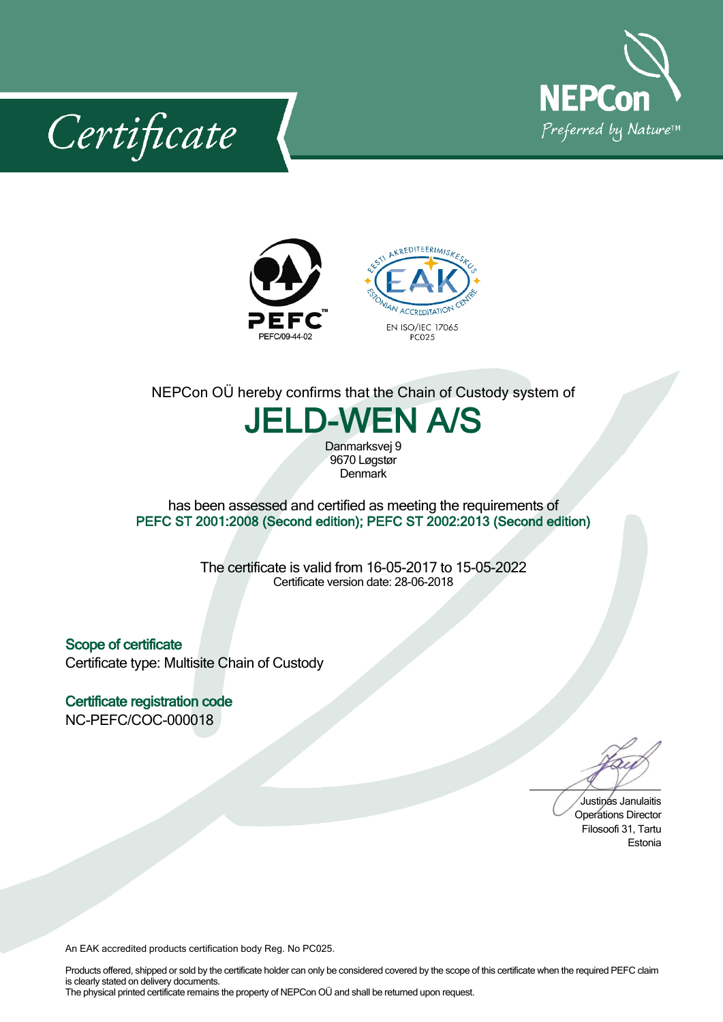

Certificate



## NEPCon OÜ hereby confirms that the Chain of Custody system of

**JELD-WEN A/S**

Danmarksvej 9 9670Løgstør **Denmark** 

has been assessed and certified as meeting the requirements of **PEFC ST 2001:2008 (Second edition); PEFC ST 2002:2013 (Second edition)**

> The certificate is valid from 16-05-2017 to 15-05-2022 Certificate version date: 28-06-2018

**Scope of certificate** Certificate type: Multisite Chain of Custody

**Certificate registration code** NC-PEFC/COC-000018

Justinas Janulaitis Operations Director Filosoofi 31, Tartu Estonia

An EAK accredited products certification body Reg. No PC025.

Products offered, shipped or sold by the certificate holder can only be considered covered by the scope of this certificate when the required PEFC claim is clearly stated on delivery documents. The physical printed certificate remains the property of NEPCon OÜ and shall be returned upon request.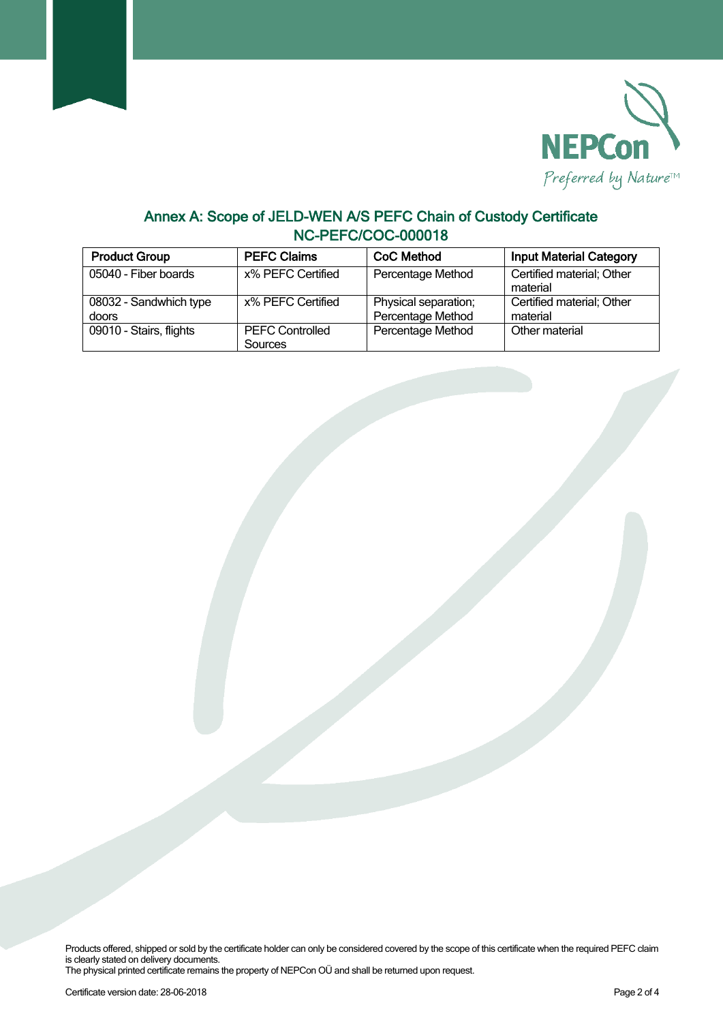

## **Annex A: Scope of JELD-WEN A/S PEFC Chain of Custody Certificate NC-PEFC/COC-000018**

| <b>Product Group</b>            | <b>PEFC Claims</b>                | CoC Method                                | <b>Input Material Category</b>        |
|---------------------------------|-----------------------------------|-------------------------------------------|---------------------------------------|
| 05040 - Fiber boards            | x% PEFC Certified                 | Percentage Method                         | Certified material; Other<br>material |
| 08032 - Sandwhich type<br>doors | x% PEFC Certified                 | Physical separation;<br>Percentage Method | Certified material; Other<br>material |
| 09010 - Stairs, flights         | <b>PEFC Controlled</b><br>Sources | Percentage Method                         | Other material                        |

Products offered, shipped or sold by the certificate holder can only be considered covered by the scope of this certificate when the required PEFC claim is clearly stated on delivery documents.

The physical printed certificate remains the property of NEPCon OÜ and shall be returned upon request.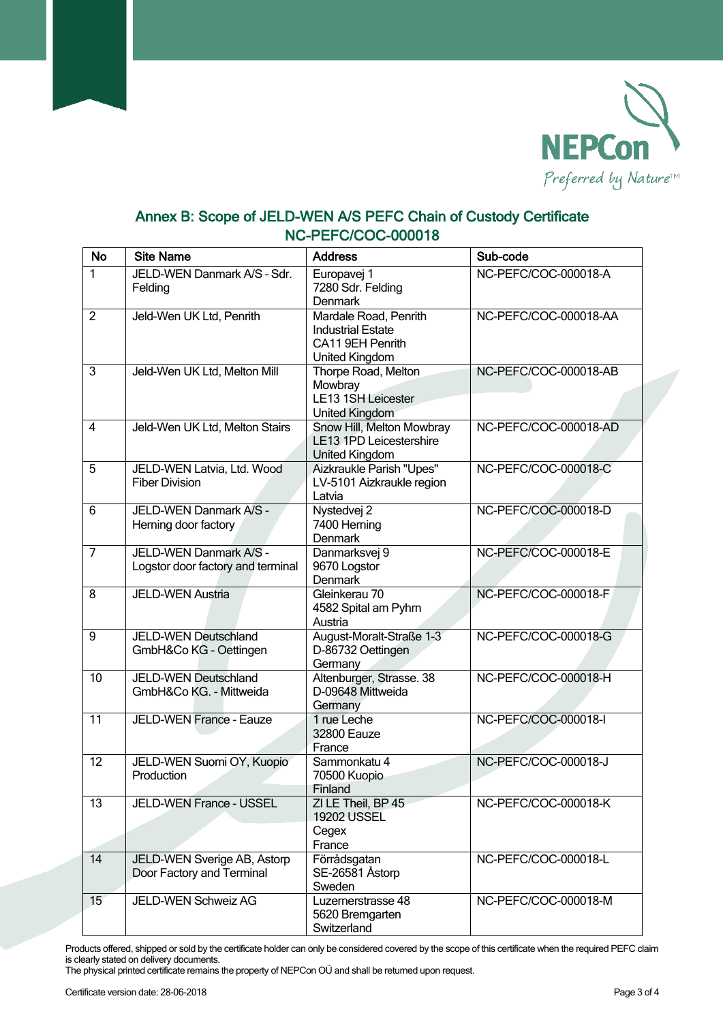

## **Annex B: Scope of JELD-WEN A/S PEFC Chain of Custody Certificate NC-PEFC/COC-000018**

| <b>No</b>       | <b>Site Name</b>                                            | <b>Address</b>                                                                          | Sub-code              |
|-----------------|-------------------------------------------------------------|-----------------------------------------------------------------------------------------|-----------------------|
| 1               | JELD-WEN Danmark A/S - Sdr.<br>Felding                      | Europavej 1<br>7280 Sdr. Felding<br><b>Denmark</b>                                      | NC-PEFC/COC-000018-A  |
| $\overline{2}$  | Jeld-Wen UK Ltd, Penrith                                    | Mardale Road, Penrith<br><b>Industrial Estate</b><br>CA11 9EH Penrith<br>United Kingdom | NC-PEFC/COC-000018-AA |
| $\overline{3}$  | Jeld-Wen UK Ltd, Melton Mill                                | Thorpe Road, Melton<br>Mowbray<br><b>LE13 1SH Leicester</b><br>United Kingdom           | NC-PEFC/COC-000018-AB |
| 4               | Jeld-Wen UK Ltd, Melton Stairs                              | Snow Hill, Melton Mowbray<br>LE13 1PD Leicestershire<br>United Kingdom                  | NC-PEFC/COC-000018-AD |
| 5               | JELD-WEN Latvia, Ltd. Wood<br><b>Fiber Division</b>         | Aizkraukle Parish "Upes"<br>LV-5101 Aizkraukle region<br>Latvia                         | NC-PEFC/COC-000018-C  |
| 6               | JELD-WEN Danmark A/S -<br>Herning door factory              | Nystedvej <sub>2</sub><br>7400 Herning<br><b>Denmark</b>                                | NC-PEFC/COC-000018-D  |
| $\overline{7}$  | JELD-WEN Danmark A/S -<br>Logstor door factory and terminal | Danmarksvej 9<br>9670 Logstor<br>Denmark                                                | NC-PEFC/COC-000018-E  |
| 8               | <b>JELD-WEN Austria</b>                                     | Gleinkerau 70<br>4582 Spital am Pyhrn<br>Austria                                        | NC-PEFC/COC-000018-F  |
| 9               | JELD-WEN Deutschland<br>GmbH&Co KG - Oettingen              | August-Moralt-Straße 1-3<br>D-86732 Oettingen<br>Germany                                | NC-PEFC/COC-000018-G  |
| 10              | JELD-WEN Deutschland<br>GmbH&Co KG. - Mittweida             | Altenburger, Strasse. 38<br>D-09648 Mittweida<br>Germany                                | NC-PEFC/COC-000018-H  |
| 11              | JELD-WEN France - Eauze                                     | 1 rue Leche<br>32800 Eauze<br>France                                                    | NC-PEFC/COC-000018-I  |
| 12              | JELD-WEN Suomi OY, Kuopio<br>Production                     | Sammonkatu 4<br>70500 Kuopio<br>Finland                                                 | NC-PEFC/COC-000018-J  |
| $\overline{13}$ | JELD-WEN France - USSEL                                     | ZI LE Theil, BP 45<br><b>19202 USSEL</b><br>Cegex                                       | NC-PEFC/COC-000018-K  |
| $\overline{14}$ | JELD-WEN Sverige AB, Astorp<br>Door Factory and Terminal    | France<br>Förrådsgatan<br>SE-26581 Åstorp<br>Sweden                                     | NC-PEFC/COC-000018-L  |
| 15 <sup>7</sup> | JELD-WEN Schweiz AG                                         | Luzernerstrasse 48<br>5620 Bremgarten<br>Switzerland                                    | NC-PEFC/COC-000018-M  |

Products offered, shipped or sold by the certificate holder can only be considered covered by the scope of this certificate when the required PEFC claim is clearly stated on delivery documents.

The physical printed certificate remains the property of NEPCon OÜ and shall be returned upon request.